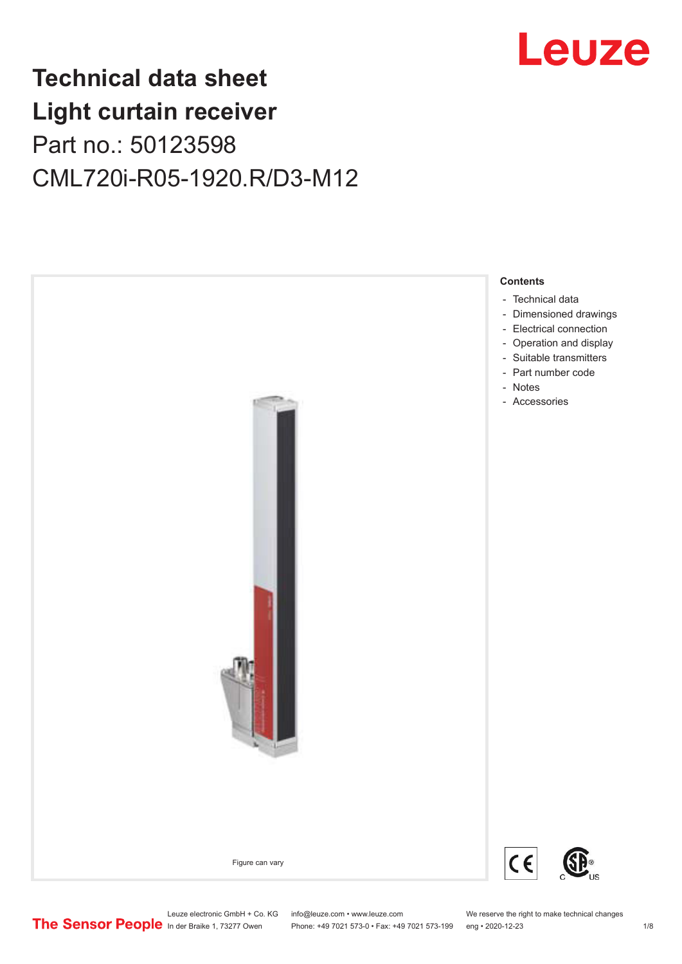## Leuze

## **Technical data sheet Light curtain receiver** Part no.: 50123598 CML720i-R05-1920.R/D3-M12



Phone: +49 7021 573-0 • Fax: +49 7021 573-199 eng • 2020-12-23 1 /8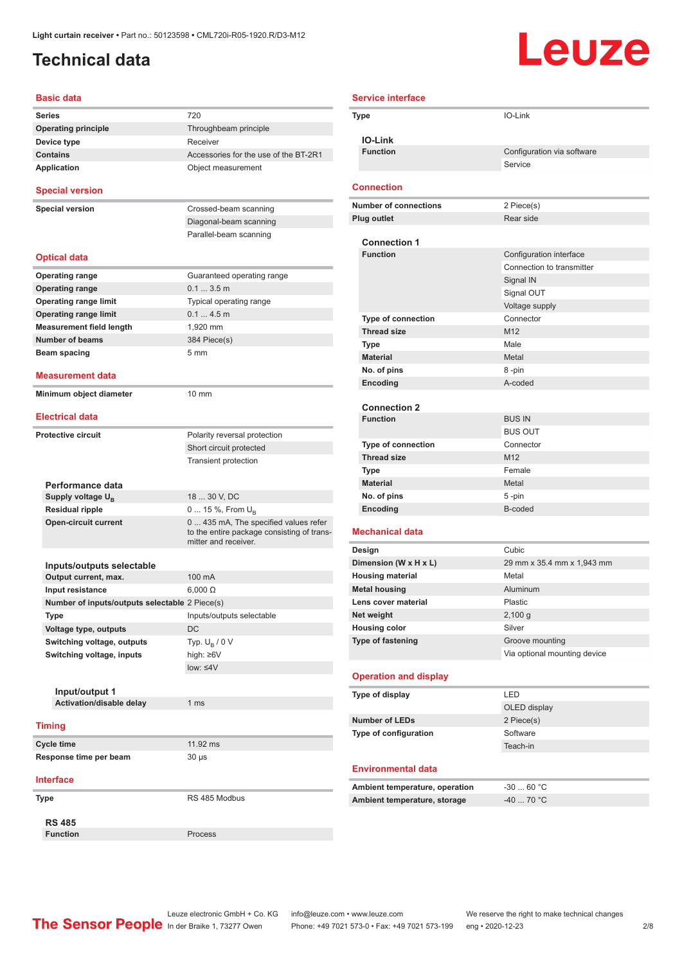### <span id="page-1-0"></span>**Technical data**

# Leuze

| <b>Basic data</b>                              |                                                                    |
|------------------------------------------------|--------------------------------------------------------------------|
| Series                                         | 720                                                                |
| <b>Operating principle</b>                     | Throughbeam principle                                              |
| Device type                                    | Receiver                                                           |
| <b>Contains</b>                                | Accessories for the use of the BT-2R1                              |
| <b>Application</b>                             | Object measurement                                                 |
| <b>Special version</b>                         |                                                                    |
| <b>Special version</b>                         | Crossed-beam scanning                                              |
|                                                | Diagonal-beam scanning                                             |
|                                                | Parallel-beam scanning                                             |
| <b>Optical data</b>                            |                                                                    |
| <b>Operating range</b>                         | Guaranteed operating range                                         |
| <b>Operating range</b>                         | 0.13.5m                                                            |
| <b>Operating range limit</b>                   | Typical operating range                                            |
| <b>Operating range limit</b>                   | 0.14.5m                                                            |
| <b>Measurement field length</b>                | 1.920 mm                                                           |
| <b>Number of beams</b>                         | 384 Piece(s)                                                       |
| Beam spacing                                   | 5 <sub>mm</sub>                                                    |
|                                                |                                                                    |
| <b>Measurement data</b>                        |                                                                    |
| Minimum object diameter                        | $10 \text{ mm}$                                                    |
| <b>Electrical data</b>                         |                                                                    |
| <b>Protective circuit</b>                      | Polarity reversal protection                                       |
|                                                | Short circuit protected                                            |
|                                                | <b>Transient protection</b>                                        |
| Performance data                               |                                                                    |
| Supply voltage U <sub>R</sub>                  | 18  30 V, DC                                                       |
| <b>Residual ripple</b>                         | 0  15 %, From $U_{\rm B}$                                          |
| <b>Open-circuit current</b>                    | 0  435 mA, The specified values refer                              |
|                                                | to the entire package consisting of trans-<br>mitter and receiver. |
| Inputs/outputs selectable                      |                                                                    |
| Output current, max.                           | 100 mA                                                             |
| Input resistance                               | $6,000 \Omega$                                                     |
| Number of inputs/outputs selectable 2 Piece(s) |                                                                    |
| Type                                           | Inputs/outputs selectable                                          |
| Voltage type, outputs                          | DC                                                                 |
| Switching voltage, outputs                     | Typ. $U_{\rm B}$ / 0 V                                             |
| Switching voltage, inputs                      | high: $\geq 6V$                                                    |
|                                                | $low: 4V$                                                          |
|                                                |                                                                    |
| Input/output 1                                 |                                                                    |
| Activation/disable delay                       | 1 ms                                                               |
|                                                |                                                                    |
| <b>Timing</b>                                  |                                                                    |
| <b>Cycle time</b>                              | 11.92 ms                                                           |
| Response time per beam                         | $30 \mu s$                                                         |
| <b>Interface</b>                               |                                                                    |
| Type                                           | RS 485 Modbus                                                      |
| <b>RS 485</b>                                  |                                                                    |
| <b>Function</b>                                | Process                                                            |

| <b>Service interface</b> |                                        |                                                      |
|--------------------------|----------------------------------------|------------------------------------------------------|
|                          | Type                                   | IO-Link                                              |
|                          |                                        |                                                      |
|                          | <b>IO-Link</b>                         |                                                      |
|                          | <b>Function</b>                        | Configuration via software                           |
|                          |                                        | Service                                              |
|                          | <b>Connection</b>                      |                                                      |
|                          | <b>Number of connections</b>           | 2 Piece(s)                                           |
|                          | <b>Plug outlet</b>                     | Rear side                                            |
|                          |                                        |                                                      |
|                          | <b>Connection 1</b><br><b>Function</b> |                                                      |
|                          |                                        | Configuration interface<br>Connection to transmitter |
|                          |                                        | Signal IN                                            |
|                          |                                        | Signal OUT                                           |
|                          |                                        | Voltage supply                                       |
|                          | <b>Type of connection</b>              | Connector                                            |
|                          | <b>Thread size</b>                     | M12                                                  |
|                          | Type                                   | Male                                                 |
|                          | <b>Material</b>                        | Metal                                                |
|                          | No. of pins                            | 8-pin                                                |
|                          | Encoding                               | A-coded                                              |
|                          |                                        |                                                      |
|                          | <b>Connection 2</b>                    |                                                      |
|                          | <b>Function</b>                        | <b>BUS IN</b>                                        |
|                          |                                        | <b>BUS OUT</b>                                       |
|                          | <b>Type of connection</b>              | Connector                                            |
|                          | <b>Thread size</b>                     | M12                                                  |
|                          | Type                                   | Female                                               |
|                          | <b>Material</b><br>No. of pins         | Metal<br>5-pin                                       |
|                          | Encoding                               | B-coded                                              |
|                          |                                        |                                                      |
|                          | <b>Mechanical data</b>                 |                                                      |
|                          | Design                                 | Cubic                                                |
|                          | Dimension (W x H x L)                  | 29 mm x 35.4 mm x 1,943 mm                           |
|                          | <b>Housing material</b>                | Metal                                                |
|                          | <b>Metal housing</b>                   | Aluminum                                             |
|                          | Lens cover material                    | Plastic                                              |
|                          | Net weight<br><b>Housing color</b>     | 2,100 g<br>Silver                                    |
|                          | Type of fastening                      | Groove mounting                                      |
|                          |                                        | Via optional mounting device                         |
|                          |                                        |                                                      |
|                          | <b>Operation and display</b>           |                                                      |
|                          | Type of display                        | LED                                                  |
|                          |                                        | OLED display                                         |
|                          | <b>Number of LEDs</b>                  | 2 Piece(s)                                           |
|                          | Type of configuration                  | Software                                             |
|                          |                                        | Teach-in                                             |
|                          |                                        |                                                      |
|                          | <b>Environmental data</b>              |                                                      |
|                          | Ambient temperature, operation         | $-3060 °C$                                           |
|                          | Ambient temperature, storage           | $-40$ 70 °C                                          |
|                          |                                        |                                                      |
|                          |                                        |                                                      |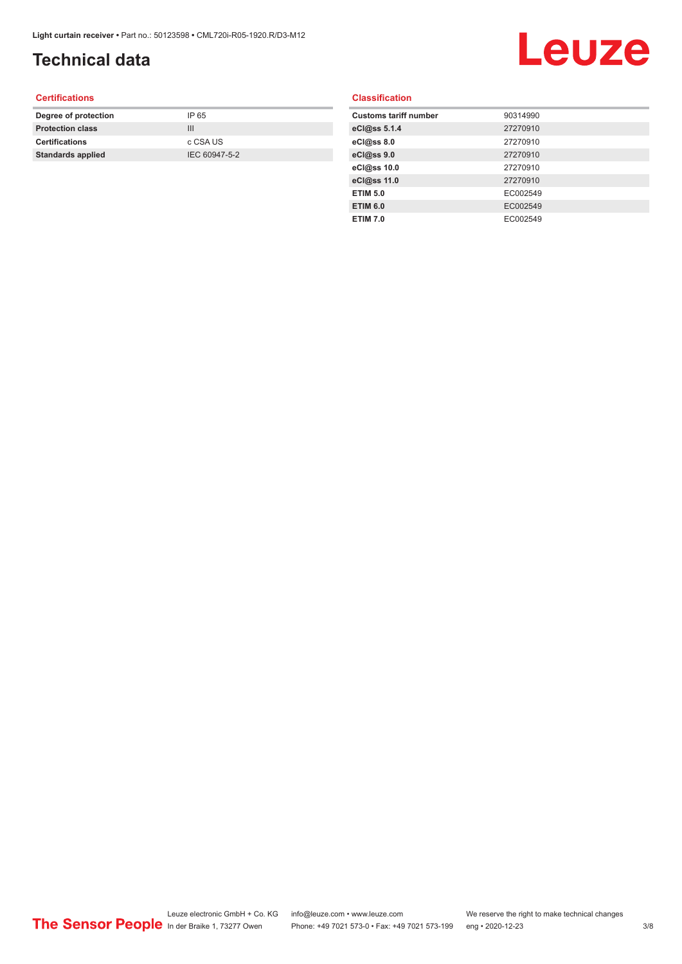### **Technical data**

# Leuze

#### **Certifications**

| Degree of protection     | IP 65         |
|--------------------------|---------------|
| <b>Protection class</b>  | Ш             |
| <b>Certifications</b>    | c CSA US      |
| <b>Standards applied</b> | IEC 60947-5-2 |
|                          |               |

#### **Classification**

| <b>Customs tariff number</b> | 90314990 |
|------------------------------|----------|
| eCl@ss 5.1.4                 | 27270910 |
| eCl@ss 8.0                   | 27270910 |
| eCl@ss 9.0                   | 27270910 |
| eCl@ss 10.0                  | 27270910 |
| eCl@ss 11.0                  | 27270910 |
| <b>ETIM 5.0</b>              | EC002549 |
| <b>ETIM 6.0</b>              | EC002549 |
| <b>ETIM 7.0</b>              | EC002549 |
|                              |          |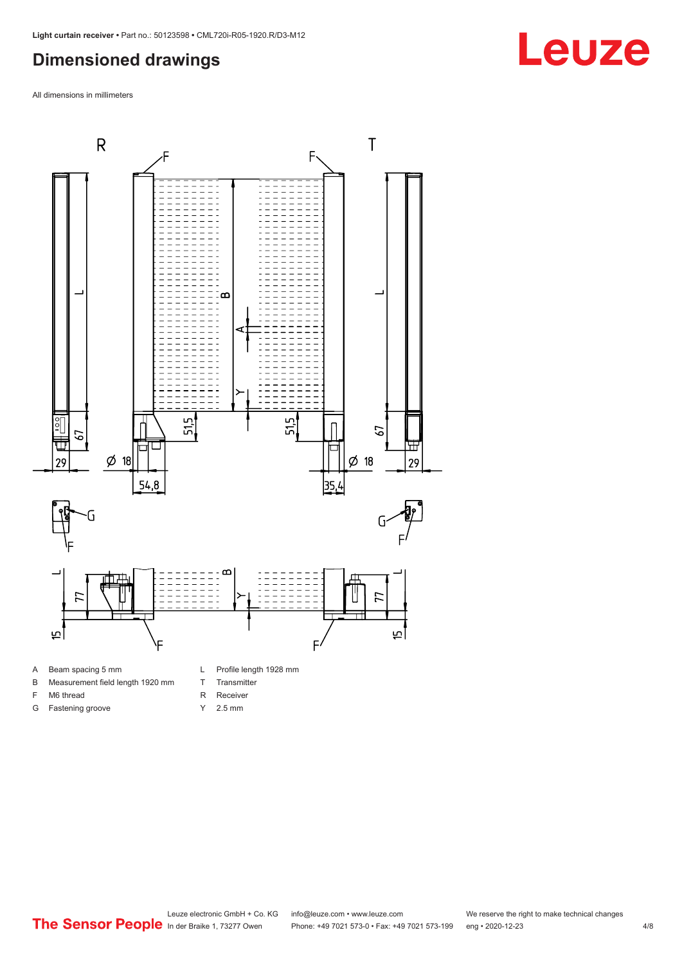#### <span id="page-3-0"></span>**Dimensioned drawings**

All dimensions in millimeters



A Beam spacing 5 mm

G Fastening groove

- B Measurement field length 1920 mm
- F M6 thread
- R Receiver
	- Y 2.5 mm

T Transmitter



## **Leuze**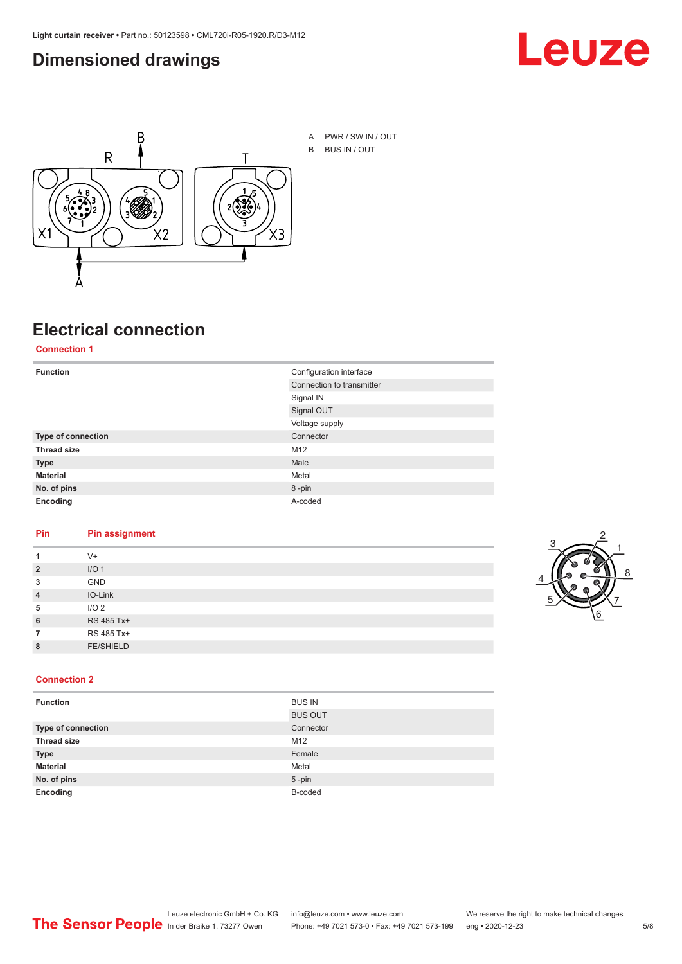#### <span id="page-4-0"></span>**Dimensioned drawings**





## **Electrical connection**

**Connection 1**

| <b>Function</b>    | Configuration interface   |  |
|--------------------|---------------------------|--|
|                    | Connection to transmitter |  |
|                    | Signal IN                 |  |
|                    | Signal OUT                |  |
|                    | Voltage supply            |  |
| Type of connection | Connector                 |  |
| <b>Thread size</b> | M12                       |  |
| <b>Type</b>        | Male                      |  |
| <b>Material</b>    | Metal                     |  |
| No. of pins        | 8-pin                     |  |
| Encoding           | A-coded                   |  |

#### **Pin Pin assignment**

| 1              | $V^+$            |  |  |
|----------------|------------------|--|--|
| $\overline{2}$ | I/O <sub>1</sub> |  |  |
| 3              | <b>GND</b>       |  |  |
| $\overline{4}$ | IO-Link          |  |  |
| 5              | I/O <sub>2</sub> |  |  |
| 6              | RS 485 Tx+       |  |  |
| 7              | RS 485 Tx+       |  |  |
| 8              | <b>FE/SHIELD</b> |  |  |
|                |                  |  |  |



#### **Connection 2**

| <b>Function</b>    | <b>BUS IN</b>  |
|--------------------|----------------|
|                    | <b>BUS OUT</b> |
| Type of connection | Connector      |
| <b>Thread size</b> | M12            |
| <b>Type</b>        | Female         |
| <b>Material</b>    | Metal          |
| No. of pins        | $5$ -pin       |
| Encoding           | B-coded        |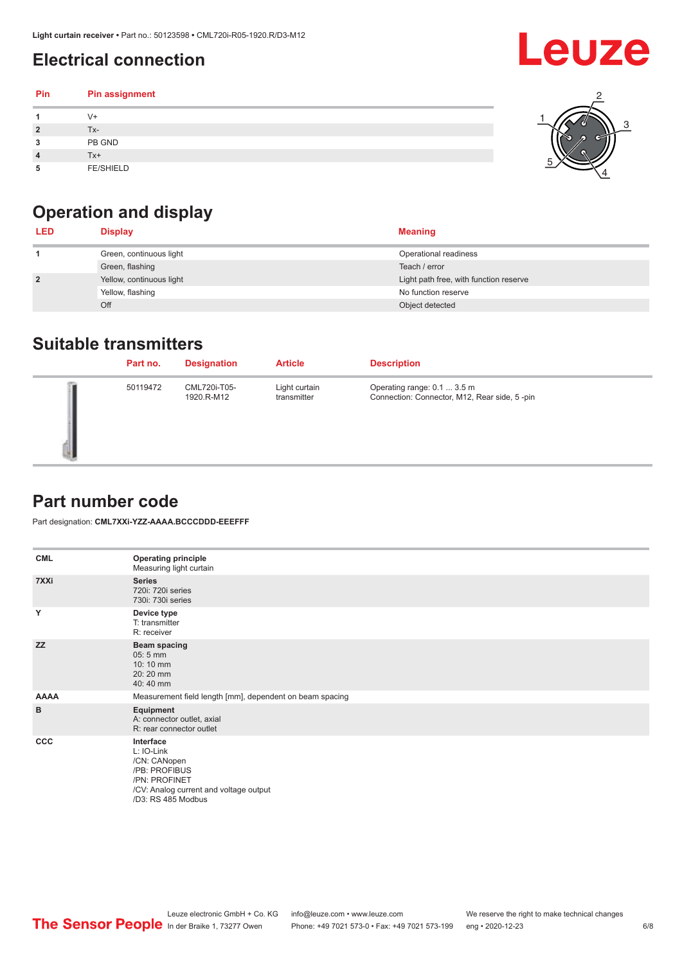### <span id="page-5-0"></span>**Electrical connection**

| Pin | Pin assignment   |  |
|-----|------------------|--|
|     | $V +$            |  |
| 2   | Tx-              |  |
| 3   | PB GND           |  |
|     | Tx+              |  |
| 5   | <b>FE/SHIELD</b> |  |

### **Operation and display**

| <b>LED</b>     | <b>Display</b>           | <b>Meaning</b>                         |
|----------------|--------------------------|----------------------------------------|
|                | Green, continuous light  | Operational readiness                  |
|                | Green, flashing          | Teach / error                          |
| $\overline{2}$ | Yellow, continuous light | Light path free, with function reserve |
|                | Yellow, flashing         | No function reserve                    |
|                | Off                      | Object detected                        |

#### **Suitable transmitters**

| Part no. | <b>Designation</b>         | <b>Article</b>               | <b>Description</b>                                                          |
|----------|----------------------------|------------------------------|-----------------------------------------------------------------------------|
| 50119472 | CML720i-T05-<br>1920.R-M12 | Light curtain<br>transmitter | Operating range: 0.1  3.5 m<br>Connection: Connector, M12, Rear side, 5-pin |

#### **Part number code**

Part designation: **CML7XXi-YZZ-AAAA.BCCCDDD-EEEFFF**

| <b>CML</b>  | <b>Operating principle</b><br>Measuring light curtain                                                                                     |
|-------------|-------------------------------------------------------------------------------------------------------------------------------------------|
| 7XXi        | <b>Series</b><br>720i: 720i series<br>730i: 730i series                                                                                   |
| Y           | Device type<br>T: transmitter<br>R: receiver                                                                                              |
| <b>ZZ</b>   | <b>Beam spacing</b><br>$05:5$ mm<br>10:10 mm<br>20:20 mm<br>40:40 mm                                                                      |
| <b>AAAA</b> | Measurement field length [mm], dependent on beam spacing                                                                                  |
| B           | Equipment<br>A: connector outlet, axial<br>R: rear connector outlet                                                                       |
| CCC         | Interface<br>L: IO-Link<br>/CN: CANopen<br>/PB: PROFIBUS<br>/PN: PROFINET<br>/CV: Analog current and voltage output<br>/D3: RS 485 Modbus |

**Leuze**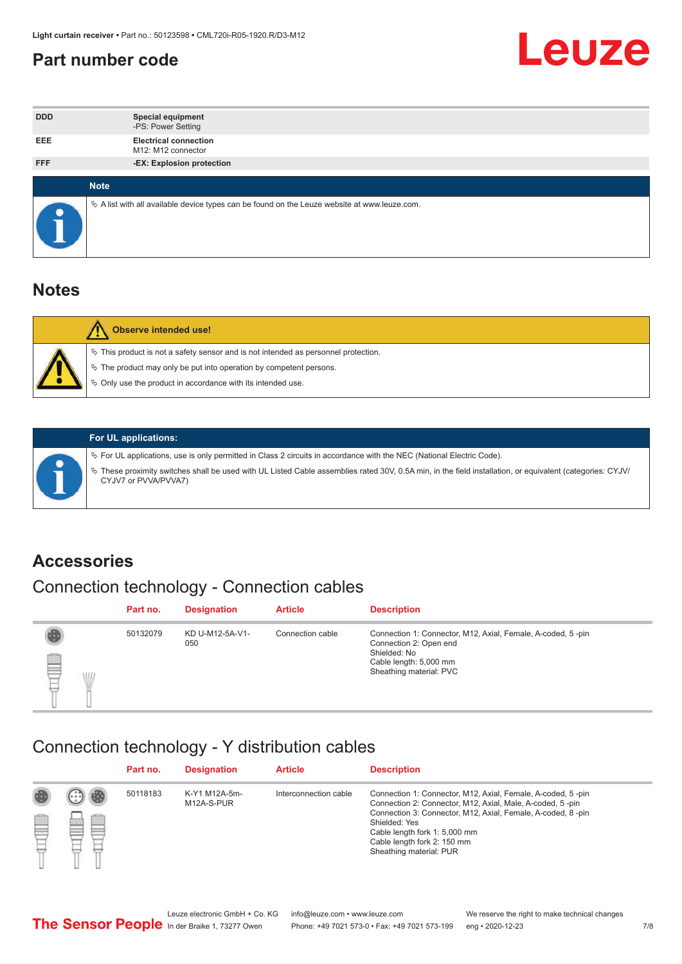#### <span id="page-6-0"></span>**Part number code**



| <b>DDD</b>  | <b>Special equipment</b><br>-PS: Power Setting                                                  |
|-------------|-------------------------------------------------------------------------------------------------|
| <b>EEE</b>  | <b>Electrical connection</b><br>M12: M12 connector                                              |
| <b>FFF</b>  | -EX: Explosion protection                                                                       |
|             |                                                                                                 |
| <b>Note</b> |                                                                                                 |
|             | $\&$ A list with all available device types can be found on the Leuze website at www.leuze.com. |

#### **Notes**

| Observe intended use!                                                                                                                                                                                                            |
|----------------------------------------------------------------------------------------------------------------------------------------------------------------------------------------------------------------------------------|
| $\%$ This product is not a safety sensor and is not intended as personnel protection.<br>$\%$ The product may only be put into operation by competent persons.<br>$\%$ Only use the product in accordance with its intended use. |
|                                                                                                                                                                                                                                  |



#### **For UL applications:**

ª For UL applications, use is only permitted in Class 2 circuits in accordance with the NEC (National Electric Code). ª These proximity switches shall be used with UL Listed Cable assemblies rated 30V, 0.5A min, in the field installation, or equivalent (categories: CYJV/ CYJV7 or PVVA/PVVA7)

#### **Accessories**

### Connection technology - Connection cables

|        | Part no. | <b>Designation</b>     | <b>Article</b>   | <b>Description</b>                                                                                                                                         |
|--------|----------|------------------------|------------------|------------------------------------------------------------------------------------------------------------------------------------------------------------|
| 2<br>W | 50132079 | KD U-M12-5A-V1-<br>050 | Connection cable | Connection 1: Connector, M12, Axial, Female, A-coded, 5-pin<br>Connection 2: Open end<br>Shielded: No<br>Cable length: 5,000 mm<br>Sheathing material: PVC |

#### Connection technology - Y distribution cables

|        |   | Part no. | <b>Designation</b>          | <b>Article</b>        | <b>Description</b>                                                                                                                                                                                                                                                                                  |
|--------|---|----------|-----------------------------|-----------------------|-----------------------------------------------------------------------------------------------------------------------------------------------------------------------------------------------------------------------------------------------------------------------------------------------------|
| 圔<br>⋿ | Ø | 50118183 | K-Y1 M12A-5m-<br>M12A-S-PUR | Interconnection cable | Connection 1: Connector, M12, Axial, Female, A-coded, 5-pin<br>Connection 2: Connector, M12, Axial, Male, A-coded, 5-pin<br>Connection 3: Connector, M12, Axial, Female, A-coded, 8-pin<br>Shielded: Yes<br>Cable length fork 1: 5,000 mm<br>Cable length fork 2: 150 mm<br>Sheathing material: PUR |